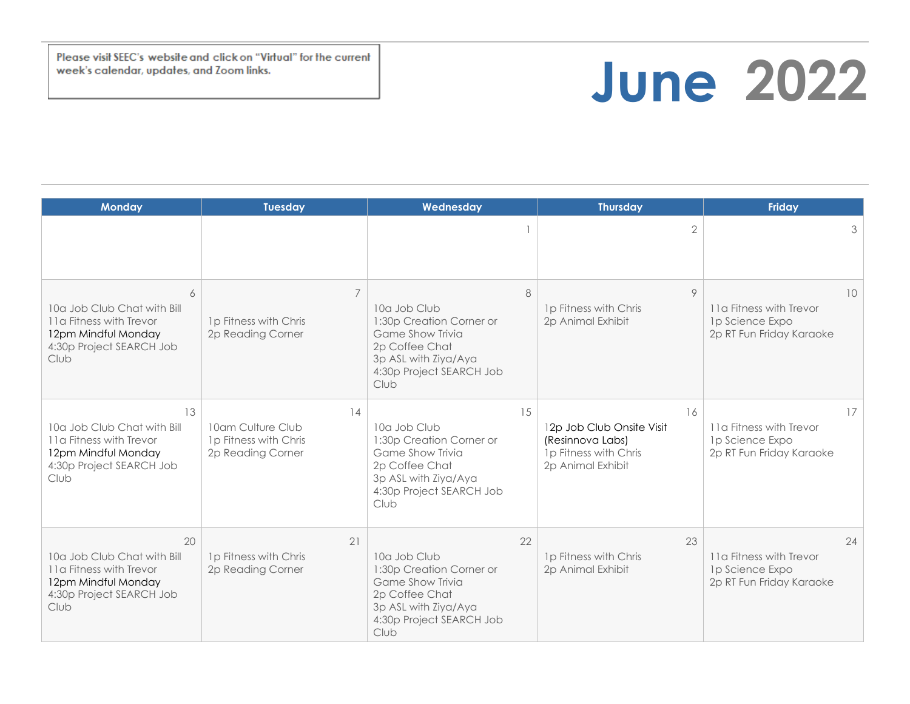Please visit SEEC's website and click on "Virtual" for the current week's calendar, updates, and Zoom links.

## **June 2022**

| <b>Monday</b>                                                                                                           | <b>Tuesday</b>                                                        | Wednesday                                                                                                                                        | <b>Thursday</b>                                                                                   | Friday                                                                       |
|-------------------------------------------------------------------------------------------------------------------------|-----------------------------------------------------------------------|--------------------------------------------------------------------------------------------------------------------------------------------------|---------------------------------------------------------------------------------------------------|------------------------------------------------------------------------------|
|                                                                                                                         |                                                                       |                                                                                                                                                  | $\overline{2}$                                                                                    | 3                                                                            |
| 6<br>10a Job Club Chat with Bill<br>11a Fitness with Trevor<br>12pm Mindful Monday<br>4:30p Project SEARCH Job<br>Club  | $\overline{7}$<br>1p Fitness with Chris<br>2p Reading Corner          | 8<br>10a Job Club<br>1:30p Creation Corner or<br>Game Show Trivia<br>2p Coffee Chat<br>3p ASL with Ziya/Aya<br>4:30p Project SEARCH Job<br>Club  | 9<br>1p Fitness with Chris<br>2p Animal Exhibit                                                   | 10<br>11a Fitness with Trevor<br>1p Science Expo<br>2p RT Fun Friday Karaoke |
| 13<br>10a Job Club Chat with Bill<br>11a Fitness with Trevor<br>12pm Mindful Monday<br>4:30p Project SEARCH Job<br>Club | 14<br>10am Culture Club<br>1p Fitness with Chris<br>2p Reading Corner | 15<br>10a Job Club<br>1:30p Creation Corner or<br>Game Show Trivia<br>2p Coffee Chat<br>3p ASL with Ziya/Aya<br>4:30p Project SEARCH Job<br>Club | 16<br>12p Job Club Onsite Visit<br>(Resinnova Labs)<br>1p Fitness with Chris<br>2p Animal Exhibit | 17<br>11a Fitness with Trevor<br>1p Science Expo<br>2p RT Fun Friday Karaoke |
| 20<br>10a Job Club Chat with Bill<br>11a Fitness with Trevor<br>12pm Mindful Monday<br>4:30p Project SEARCH Job<br>Club | 21<br>1p Fitness with Chris<br>2p Reading Corner                      | 22<br>10a Job Club<br>1:30p Creation Corner or<br>Game Show Trivia<br>2p Coffee Chat<br>3p ASL with Ziya/Aya<br>4:30p Project SEARCH Job<br>Club | 23<br>1p Fitness with Chris<br>2p Animal Exhibit                                                  | 24<br>11a Fitness with Trevor<br>1p Science Expo<br>2p RT Fun Friday Karaoke |